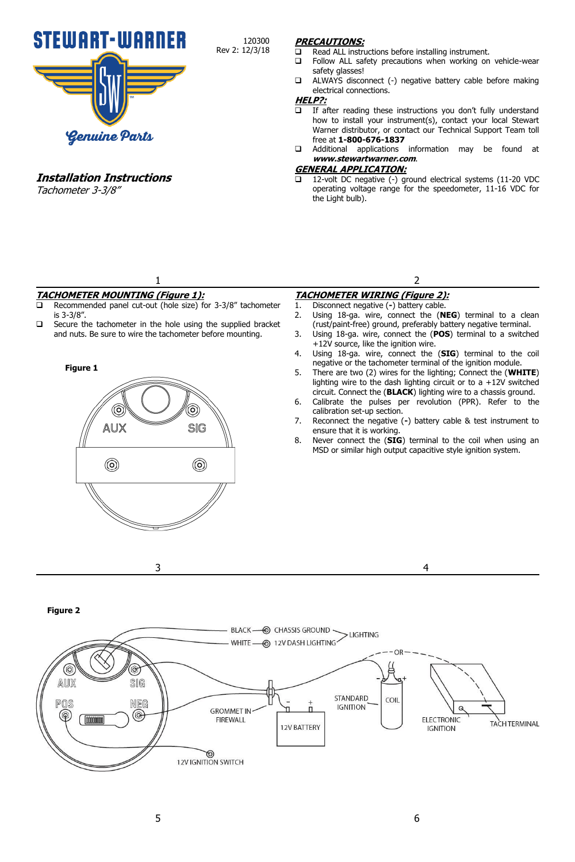

**Installation Instructions** Tachometer 3-3/8"

## **PRECAUTIONS:**

- $\Box$  Read ALL instructions before installing instrument.<br> $\Box$  Follow ALL safety precautions when working on
- Follow ALL safety precautions when working on vehicle-wear safety glasses!
- ALWAYS disconnect (-) negative battery cable before making electrical connections.

## **HELP?:**

120300 Rev 2: 12/3/18

- $\overline{\Box}$  If after reading these instructions you don't fully understand how to install your instrument(s), contact your local Stewart Warner distributor, or contact our Technical Support Team toll free at **1-800-676-1837**
- Additional applications information may be found at **www.stewartwarner.com**.

#### **GENERAL APPLICATION:**

 12-volt DC negative (-) ground electrical systems (11-20 VDC operating voltage range for the speedometer, 11-16 VDC for the Light bulb).

# 1 **TACHOMETER MOUNTING (Figure 1):**

- Recommended panel cut-out (hole size) for 3-3/8" tachometer is 3-3/8".
- $\square$  Secure the tachometer in the hole using the supplied bracket and nuts. Be sure to wire the tachometer before mounting.



3

- **TACHOMETER WIRING (Figure 2):**
- 1. Disconnect negative (**-**) battery cable.
- 2. Using 18-ga. wire, connect the (**NEG**) terminal to a clean (rust/paint-free) ground, preferably battery negative terminal.

2

- 3. Using 18-ga. wire, connect the (**POS**) terminal to a switched +12V source, like the ignition wire.
- 4. Using 18-ga. wire, connect the (**SIG**) terminal to the coil negative or the tachometer terminal of the ignition module.
- 5. There are two (2) wires for the lighting; Connect the (**WHITE**) lighting wire to the dash lighting circuit or to a  $+12V$  switched circuit. Connect the (**BLACK**) lighting wire to a chassis ground.
- 6. Calibrate the pulses per revolution (PPR). Refer to the calibration set-up section.
- 7. Reconnect the negative (**-**) battery cable & test instrument to ensure that it is working.
- 8. Never connect the (**SIG**) terminal to the coil when using an MSD or similar high output capacitive style ignition system.

4